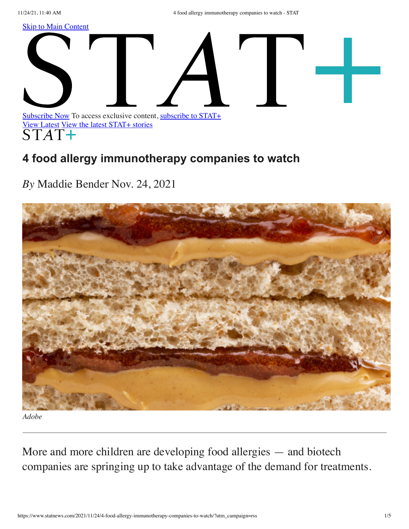11/24/21, 11:40 AM 4 food allergy immunotherapy companies to watch - STAT

<span id="page-0-0"></span>**[Skip to Main Content](#page-0-0)** 



## **4 food allergy immunotherapy companies to watch**

*By* Maddie Bender Nov. 24, 2021



*Adobe*

M ore and more children are developing food allergies — and biotech companies are springing up to take advantage of the demand for treatments.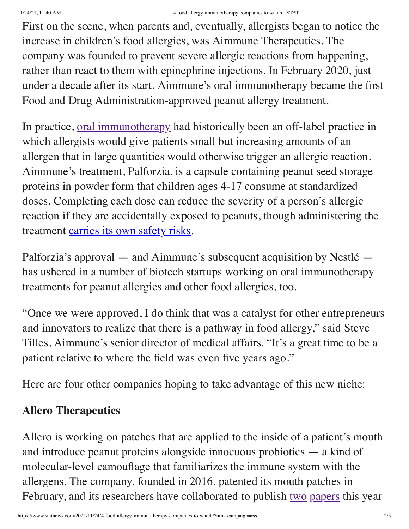First on the scene, when parents and, eventually, allergists began to notice the increase in children's food allergies, was Aimmune Therapeutics. The company was founded to prevent severe allergic reactions from happening, rather than react to them with epinephrine injections. In February 2020, just under a decade after its start, Aimmune's oral immunotherapy became the first Food and Drug Administration-approved peanut allergy treatment.

In practice, [oral immunotherapy](https://www.statnews.com/2019/12/11/oral-immunotherapy-game-changer-food-allergies/) had historically been an off-label practice in which allergists would give patients small but increasing amounts of an allergen that in large quantities would otherwise trigger an allergic reaction. Aimmune's treatment, Palforzia, is a capsule containing peanut seed storage proteins in powder form that children ages 4-17 consume at standardized doses. Completing each dose can reduce the severity of a person's allergic reaction if they are accidentally exposed to peanuts, though administering the treatment [carries its own safety risks.](https://www.statnews.com/2020/02/03/new-peanut-allergy-treatment-palforzia-commercial-success-not-assured/)

Palforzia's approval — and Aimmune's subsequent acquisition by Nestlé has ushered in a number of biotech startups working on oral immunotherapy treatments for peanut allergies and other food allergies, too.

"Once we were approved, I do think that was a catalyst for other entrepreneurs and innovators to realize that there is a pathway in food allergy," said Steve Tilles, Aimmune's senior director of medical affairs. "It's a great time to be a patient relative to where the field was even five years ago."

Here are four other companies hoping to take advantage of this new niche:

## **Allero Therapeutics**

Allero is working on patches that are applied to the inside of a patient's mouth and introduce peanut proteins alongside innocuous probiotics — a kind of molecular-level camouflage that familiarizes the immune system with the allergens. The company, founded in 2016, patented its mouth patches in February, and its researchers have collaborated to publish [two](https://onlinelibrary.wiley.com/doi/abs/10.1111/cea.13862) [papers](https://www.frontiersin.org/articles/10.3389/fimmu.2021.623805/full) this year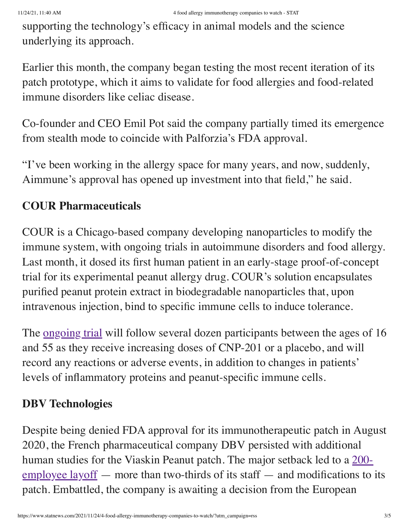supporting the technology's efficacy in animal models and the science underlying its approach.

Earlier this month, the company began testing the most recent iteration of its patch prototype, which it aims to validate for food allergies and food-related immune disorders like celiac disease.

Co-founder and CEO Emil Pot said the company partially timed its emergence from stealth mode to coincide with Palforzia's FDA approval.

"I've been working in the allergy space for many years, and now, suddenly, Aimmune's approval has opened up investment into that field," he said.

## **COUR Pharmaceuticals**

COUR is a Chicago-based company developing nanoparticles to modify the immune system, with ongoing trials in autoimmune disorders and food allergy. Last month, it dosed its first human patient in an early-stage proof-of-concept trial for its experimental peanut allergy drug. COUR's solution encapsulates purified peanut protein extract in biodegradable nanoparticles that, upon intravenous injection, bind to specific immune cells to induce tolerance.

The <u>ongoing trial</u> will follow several dozen participants between the ages of 16 and 55 as they receive increasing doses of CNP-201 or a placebo, and will record any reactions or adverse events, in addition to changes in patients' levels of inflammatory proteins and peanut-specific immune cells.

## **DBV Technologies**

Despite being denied FDA approval for its immunotherapeutic patch in August 2020, the French pharmaceutical company DBV persisted with additional human studies for the Viaskin Peanut patch. The major setback led to a 200-  $\frac{\text{employee layout}}{\text{target}}$  — more than two-thirds of its staff — and modifications to its patch. Embattled, the company is awaiting a decision from the European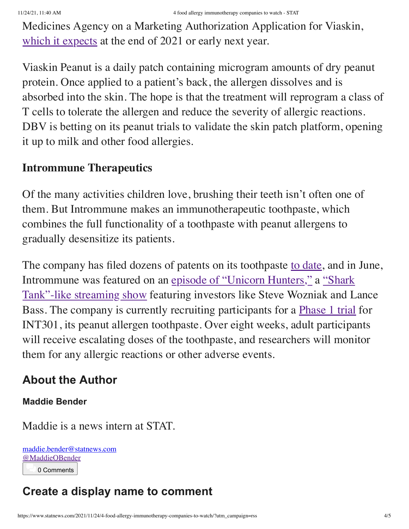Medicines Agency on a Marketing Authorization Application for Viaskin, [which it expects](https://www.dbv-technologies.com/wp-content/uploads/2021/01/dbv-press-release-fda-feedback_01.14.2021_final_english.pdf) at the end of 2021 or early next year.

Viaskin Peanut is a daily patch containing microgram amounts of dry peanut protein. Once applied to a patient's back, the allergen dissolves and is absorbed into the skin. The hope is that the treatment will reprogram a class of T cells to tolerate the allergen and reduce the severity of allergic reactions. DBV is betting on its peanut trials to validate the skin patch platform, opening it up to milk and other food allergies.

### **Intrommune Therapeutics**

Of the many activities children love, brushing their teeth isn't often one of them. But Intrommune makes an immunotherapeutic toothpaste, which combines the full functionality of a toothpaste with peanut allergens to gradually desensitize its patients.

The company has filed dozens of patents on its toothpaste [to date](https://intrommune.com/wp-content/uploads/2021/11/NON_CON_21_INT_001_Corp_-Intrommune-Deck_V13.pdf), and in June, [Intrommune was featured on an episode of "Unicorn Hunters," a "Shark](https://www.statnews.com/2021/06/07/will-you-accept-this-capital-investment-biotech-and-health-startups-bet-on-a-strange-new-reality-show-for-crowdfunding/)" Tank"-like streaming show featuring investors like Steve Wozniak and Lance Bass. The company is currently recruiting participants for a [Phase 1 trial](https://clinicaltrials.gov/ct2/show/NCT04603300?cond=NCT04603300&draw=2&rank=1) for INT301, its peanut allergen toothpaste. Over eight weeks, adult participants will receive escalating doses of the toothpaste, and researchers will monitor them for any allergic reactions or other adverse events.

## **About the Author**

#### **Maddie Bender**

Maddie is a news intern at STAT.

[maddie.bender@statnews.com](mailto:maddie.bender@statnews.com) [@MaddieOBender](https://twitter.com/MaddieOBender) 0 Comments

# **Create a display name to comment**